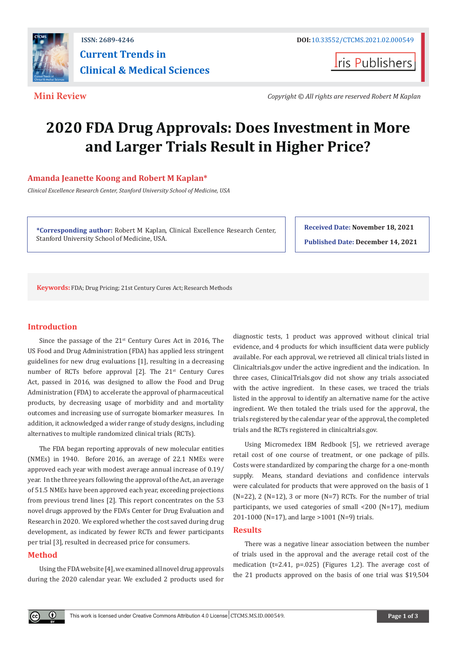

**Iris Publishers** 

**Mini Review** *Copyright © All rights are reserved Robert M Kaplan*

# **2020 FDA Drug Approvals: Does Investment in More and Larger Trials Result in Higher Price?**

# **Amanda Jeanette Koong and Robert M Kaplan\***

*Clinical Excellence Research Center, Stanford University School of Medicine, USA*

**\*Corresponding author:** Robert M Kaplan, Clinical Excellence Research Center, Stanford University School of Medicine, USA.

**Received Date: November 18, 2021 Published Date: December 14, 2021**

**Keywords:** FDA; Drug Pricing; 21st Century Cures Act; Research Methods

# **Introduction**

Since the passage of the  $21^{st}$  Century Cures Act in 2016, The US Food and Drug Administration (FDA) has applied less stringent guidelines for new drug evaluations [1], resulting in a decreasing number of RCTs before approval  $[2]$ . The  $21^{st}$  Century Cures Act, passed in 2016, was designed to allow the Food and Drug Administration (FDA) to accelerate the approval of pharmaceutical products, by decreasing usage of morbidity and and mortality outcomes and increasing use of surrogate biomarker measures. In addition, it acknowledged a wider range of study designs, including alternatives to multiple randomized clinical trials (RCTs).

The FDA began reporting approvals of new molecular entities (NMEs) in 1940. Before 2016, an average of 22.1 NMEs were approved each year with modest average annual increase of 0.19/ year. In the three years following the approval of the Act, an average of 51.5 NMEs have been approved each year, exceeding projections from previous trend lines [2]. This report concentrates on the 53 novel drugs approved by the FDA's Center for Drug Evaluation and Research in 2020. We explored whether the cost saved during drug development, as indicated by fewer RCTs and fewer participants per trial [3], resulted in decreased price for consumers.

# **Method**

Using the FDA website [4], we examined all novel drug approvals during the 2020 calendar year. We excluded 2 products used for

diagnostic tests, 1 product was approved without clinical trial evidence, and 4 products for which insufficient data were publicly available. For each approval, we retrieved all clinical trials listed in Clinicaltrials.gov under the active ingredient and the indication. In three cases, ClinicalTrials.gov did not show any trials associated with the active ingredient. In these cases, we traced the trials listed in the approval to identify an alternative name for the active ingredient. We then totaled the trials used for the approval, the trials registered by the calendar year of the approval, the completed trials and the RCTs registered in clinicaltrials.gov.

Using Micromedex IBM Redbook [5], we retrieved average retail cost of one course of treatment, or one package of pills. Costs were standardized by comparing the charge for a one-month supply. Means, standard deviations and confidence intervals were calculated for products that were approved on the basis of 1  $(N=22)$ , 2  $(N=12)$ , 3 or more  $(N=7)$  RCTs. For the number of trial participants, we used categories of small <200 (N=17), medium 201-1000 (N=17), and large >1001 (N=9) trials.

#### **Results**

There was a negative linear association between the number of trials used in the approval and the average retail cost of the medication (t=2.41, p=.025) (Figures 1,2). The average cost of the 21 products approved on the basis of one trial was \$19,504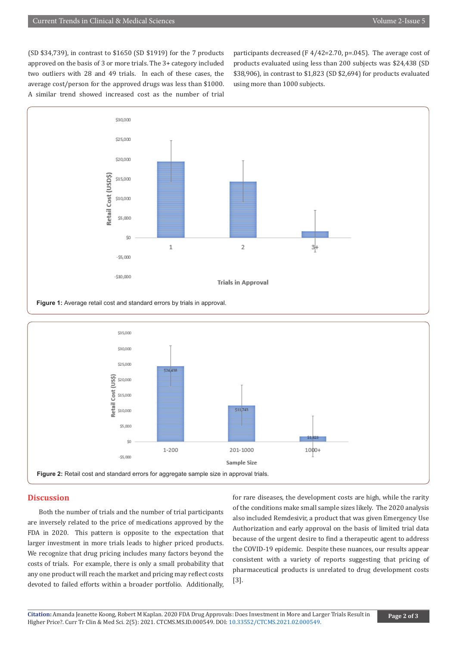(SD \$34,739), in contrast to \$1650 (SD \$1919) for the 7 products approved on the basis of 3 or more trials. The 3+ category included two outliers with 28 and 49 trials. In each of these cases, the average cost/person for the approved drugs was less than \$1000. A similar trend showed increased cost as the number of trial participants decreased (F 4/42=2.70, p=.045). The average cost of products evaluated using less than 200 subjects was \$24,438 (SD \$38,906), in contrast to \$1,823 (SD \$2,694) for products evaluated using more than 1000 subjects.



**Figure 1:** Average retail cost and standard errors by trials in approval.



### **Discussion**

Both the number of trials and the number of trial participants are inversely related to the price of medications approved by the FDA in 2020. This pattern is opposite to the expectation that larger investment in more trials leads to higher priced products. We recognize that drug pricing includes many factors beyond the costs of trials. For example, there is only a small probability that any one product will reach the market and pricing may reflect costs devoted to failed efforts within a broader portfolio. Additionally,

for rare diseases, the development costs are high, while the rarity of the conditions make small sample sizes likely. The 2020 analysis also included Remdesivir, a product that was given Emergency Use Authorization and early approval on the basis of limited trial data because of the urgent desire to find a therapeutic agent to address the COVID-19 epidemic. Despite these nuances, our results appear consistent with a variety of reports suggesting that pricing of pharmaceutical products is unrelated to drug development costs [3].